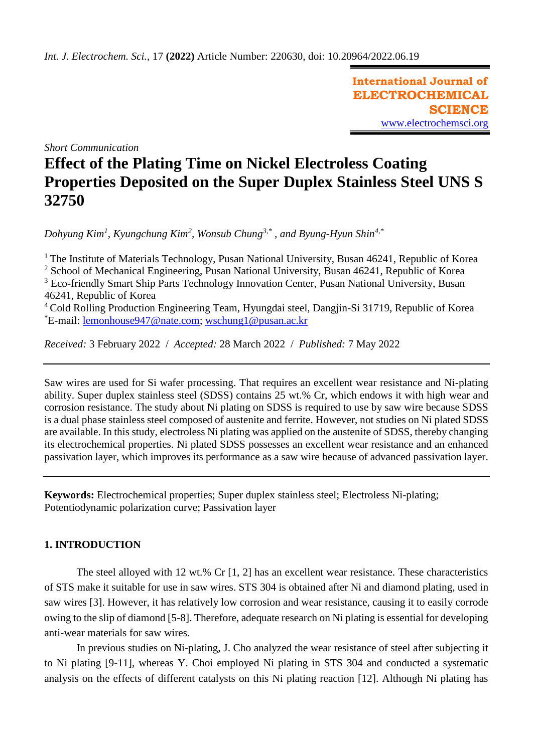**International Journal of ELECTROCHEMICAL SCIENCE** [www.electrochemsci.org](http://www.electrochemsci.org/)

*Short Communication*

# **Effect of the Plating Time on Nickel Electroless Coating Properties Deposited on the Super Duplex Stainless Steel UNS S 32750**

*Dohyung Kim<sup>1</sup> , Kyungchung Kim<sup>2</sup> , Wonsub Chung3,\* , and Byung-Hyun Shin4,\**

<sup>1</sup> The Institute of Materials Technology, Pusan National University, Busan 46241, Republic of Korea <sup>2</sup> School of Mechanical Engineering, Pusan National University, Busan 46241, Republic of Korea  $3$  Eco-friendly Smart Ship Parts Technology Innovation Center, Pusan National University, Busan 46241, Republic of Korea <sup>4</sup> Cold Rolling Production Engineering Team, Hyungdai steel, Dangjin-Si 31719, Republic of Korea

\*E-mail: [lemonhouse947@n](mailto:lemonhouse@pusan.ac.kr)ate.com; [wschung1@pusan.ac.kr](mailto:wschung1@pusan.ac.kr)

*Received:* 3 February 2022/ *Accepted:* 28 March 2022 / *Published:* 7 May 2022

Saw wires are used for Si wafer processing. That requires an excellent wear resistance and Ni-plating ability. Super duplex stainless steel (SDSS) contains 25 wt.% Cr, which endows it with high wear and corrosion resistance. The study about Ni plating on SDSS is required to use by saw wire because SDSS is a dual phase stainless steel composed of austenite and ferrite. However, not studies on Ni plated SDSS are available. In this study, electroless Ni plating was applied on the austenite of SDSS, thereby changing its electrochemical properties. Ni plated SDSS possesses an excellent wear resistance and an enhanced passivation layer, which improves its performance as a saw wire because of advanced passivation layer.

**Keywords:** Electrochemical properties; Super duplex stainless steel; Electroless Ni-plating; Potentiodynamic polarization curve; Passivation layer

# **1. INTRODUCTION**

The steel alloyed with 12 wt.% Cr [1, 2] has an excellent wear resistance. These characteristics of STS make it suitable for use in saw wires. STS 304 is obtained after Ni and diamond plating, used in saw wires [3]. However, it has relatively low corrosion and wear resistance, causing it to easily corrode owing to the slip of diamond [5-8]. Therefore, adequate research on Ni plating is essential for developing anti-wear materials for saw wires.

In previous studies on Ni-plating, J. Cho analyzed the wear resistance of steel after subjecting it to Ni plating [9-11], whereas Y. Choi employed Ni plating in STS 304 and conducted a systematic analysis on the effects of different catalysts on this Ni plating reaction [12]. Although Ni plating has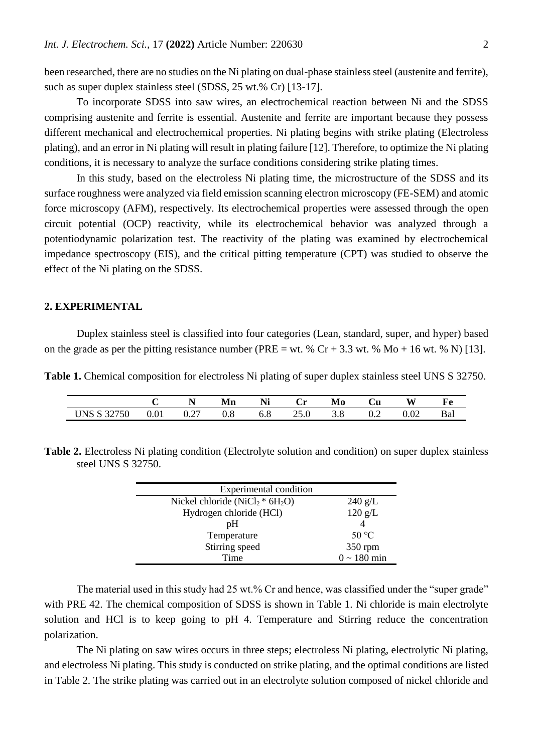been researched, there are no studies on the Ni plating on dual-phase stainless steel (austenite and ferrite), such as super duplex stainless steel (SDSS, 25 wt.% Cr) [13-17].

To incorporate SDSS into saw wires, an electrochemical reaction between Ni and the SDSS comprising austenite and ferrite is essential. Austenite and ferrite are important because they possess different mechanical and electrochemical properties. Ni plating begins with strike plating (Electroless plating), and an error in Ni plating will result in plating failure [12]. Therefore, to optimize the Ni plating conditions, it is necessary to analyze the surface conditions considering strike plating times.

In this study, based on the electroless Ni plating time, the microstructure of the SDSS and its surface roughness were analyzed via field emission scanning electron microscopy (FE-SEM) and atomic force microscopy (AFM), respectively. Its electrochemical properties were assessed through the open circuit potential (OCP) reactivity, while its electrochemical behavior was analyzed through a potentiodynamic polarization test. The reactivity of the plating was examined by electrochemical impedance spectroscopy (EIS), and the critical pitting temperature (CPT) was studied to observe the effect of the Ni plating on the SDSS.

## **2. EXPERIMENTAL**

Duplex stainless steel is classified into four categories (Lean, standard, super, and hyper) based on the grade as per the pitting resistance number (PRE = wt. %  $Cr + 3.3$  wt. %  $Mo + 16$  wt. % N) [13].

**Table 1.** Chemical composition for electroless Ni plating of super duplex stainless steel UNS S 32750.

|                                                       |                               | <b>TA</b>              | Mn       | ъ т<br>ΙNΙ | . т<br>U   | Mo  | Ùи  | W)   |     |
|-------------------------------------------------------|-------------------------------|------------------------|----------|------------|------------|-----|-----|------|-----|
| $T$ INIC $\sim$<br>32750<br>$\mathbf{C}$<br>ບ⊥າມ<br>◡ | $\Omega$ <sup>1</sup><br>0.01 | $\mathcal{L}$<br>U.∠ / | w<br>v.o | υ.ο        | 25<br>2J.V | J.O | ∪.∠ | 0.02 | Bal |

**Table 2.** Electroless Ni plating condition (Electrolyte solution and condition) on super duplex stainless steel UNS S 32750.

| Experimental condition             |                          |
|------------------------------------|--------------------------|
| Nickel chloride ( $NiCl2 * 6H2O$ ) | $240 \text{ g/L}$        |
| Hydrogen chloride (HCl)            | 120 g/L                  |
| pH                                 |                          |
| Temperature                        | 50 °C                    |
| Stirring speed                     | 350 rpm                  |
| Time                               | $0 \sim 180 \text{ min}$ |

The material used in this study had 25 wt.% Cr and hence, was classified under the "super grade" with PRE 42. The chemical composition of SDSS is shown in Table 1. Ni chloride is main electrolyte solution and HCl is to keep going to pH 4. Temperature and Stirring reduce the concentration polarization.

The Ni plating on saw wires occurs in three steps; electroless Ni plating, electrolytic Ni plating, and electroless Ni plating. This study is conducted on strike plating, and the optimal conditions are listed in Table 2. The strike plating was carried out in an electrolyte solution composed of nickel chloride and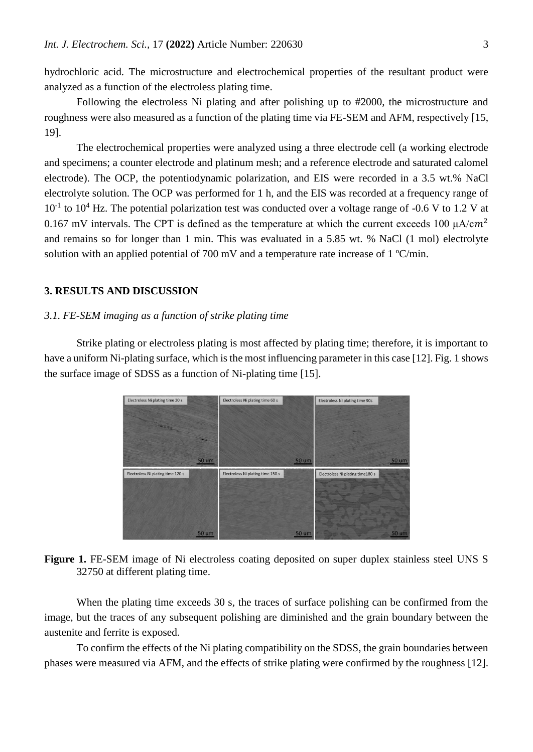hydrochloric acid. The microstructure and electrochemical properties of the resultant product were analyzed as a function of the electroless plating time.

Following the electroless Ni plating and after polishing up to #2000, the microstructure and roughness were also measured as a function of the plating time via FE-SEM and AFM, respectively [15, 19].

The electrochemical properties were analyzed using a three electrode cell (a working electrode and specimens; a counter electrode and platinum mesh; and a reference electrode and saturated calomel electrode). The OCP, the potentiodynamic polarization, and EIS were recorded in a 3.5 wt.% NaCl electrolyte solution. The OCP was performed for 1 h, and the EIS was recorded at a frequency range of  $10^{-1}$  to  $10^{4}$  Hz. The potential polarization test was conducted over a voltage range of -0.6 V to 1.2 V at 0.167 mV intervals. The CPT is defined as the temperature at which the current exceeds 100  $\mu A/cm^2$ and remains so for longer than 1 min. This was evaluated in a 5.85 wt. % NaCl (1 mol) electrolyte solution with an applied potential of 700 mV and a temperature rate increase of 1 °C/min.

### **3. RESULTS AND DISCUSSION**

#### *3.1. FE-SEM imaging as a function of strike plating time*

Strike plating or electroless plating is most affected by plating time; therefore, it is important to have a uniform Ni-plating surface, which is the most influencing parameter in this case [12]. Fig. 1 shows the surface image of SDSS as a function of Ni-plating time [15].



## **Figure 1.** FE-SEM image of Ni electroless coating deposited on super duplex stainless steel UNS S 32750 at different plating time.

When the plating time exceeds 30 s, the traces of surface polishing can be confirmed from the image, but the traces of any subsequent polishing are diminished and the grain boundary between the austenite and ferrite is exposed.

To confirm the effects of the Ni plating compatibility on the SDSS, the grain boundaries between phases were measured via AFM, and the effects of strike plating were confirmed by the roughness [12].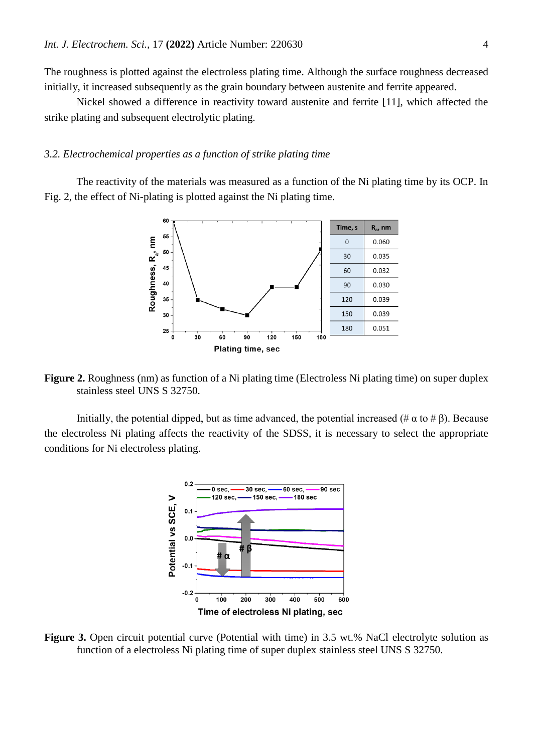The roughness is plotted against the electroless plating time. Although the surface roughness decreased initially, it increased subsequently as the grain boundary between austenite and ferrite appeared.

Nickel showed a difference in reactivity toward austenite and ferrite [11], which affected the strike plating and subsequent electrolytic plating.

#### *3.2. Electrochemical properties as a function of strike plating time*

The reactivity of the materials was measured as a function of the Ni plating time by its OCP. In Fig. 2, the effect of Ni-plating is plotted against the Ni plating time.



**Figure 2.** Roughness (nm) as function of a Ni plating time (Electroless Ni plating time) on super duplex stainless steel UNS S 32750.

Initially, the potential dipped, but as time advanced, the potential increased (#  $\alpha$  to #  $\beta$ ). Because the electroless Ni plating affects the reactivity of the SDSS, it is necessary to select the appropriate conditions for Ni electroless plating.



**Figure 3.** Open circuit potential curve (Potential with time) in 3.5 wt.% NaCl electrolyte solution as function of a electroless Ni plating time of super duplex stainless steel UNS S 32750.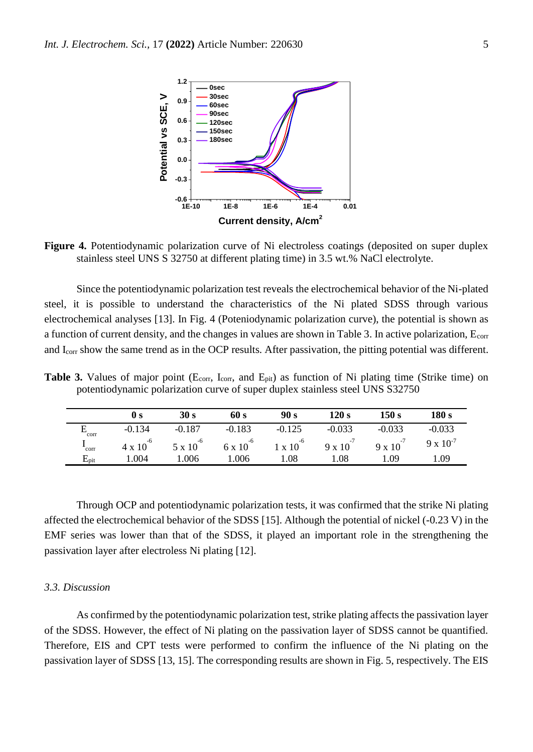

**Figure 4.** Potentiodynamic polarization curve of Ni electroless coatings (deposited on super duplex stainless steel UNS S 32750 at different plating time) in 3.5 wt.% NaCl electrolyte.

Since the potentiodynamic polarization test reveals the electrochemical behavior of the Ni-plated steel, it is possible to understand the characteristics of the Ni plated SDSS through various electrochemical analyses [13]. In Fig. 4 (Poteniodynamic polarization curve), the potential is shown as a function of current density, and the changes in values are shown in Table 3. In active polarization, Ecorr and Icorr show the same trend as in the OCP results. After passivation, the pitting potential was different.

**Table 3.** Values of major point ( $E_{\text{corr}}$ ,  $I_{\text{corr}}$ , and  $E_{\text{pit}}$ ) as function of Ni plating time (Strike time) on potentiodynamic polarization curve of super duplex stainless steel UNS S32750

|                   | $\bf{0}$ s         | 30 s               | 60 s               | 90 s               | 120 s              | 150 s              | 180 s              |
|-------------------|--------------------|--------------------|--------------------|--------------------|--------------------|--------------------|--------------------|
| corr              | $-0.134$           | $-0.187$           | $-0.183$           | $-0.125$           | $-0.033$           | $-0.033$           | $-0.033$           |
| corr              | $4 \times 10^{-6}$ | $5 \times 10^{-6}$ | $6 \times 10^{-6}$ | $1 \times 10^{-6}$ | $9 \times 10^{-7}$ | $9 \times 10^{-7}$ | $9 \times 10^{-7}$ |
| $\rm E_{\rm pit}$ | 1.004              | 1.006              | 1.006              | 1.08               | l.08               | 1.09               | 1.09               |

Through OCP and potentiodynamic polarization tests, it was confirmed that the strike Ni plating affected the electrochemical behavior of the SDSS [15]. Although the potential of nickel (-0.23 V) in the EMF series was lower than that of the SDSS, it played an important role in the strengthening the passivation layer after electroless Ni plating [12].

#### *3.3. Discussion*

As confirmed by the potentiodynamic polarization test, strike plating affects the passivation layer of the SDSS. However, the effect of Ni plating on the passivation layer of SDSS cannot be quantified. Therefore, EIS and CPT tests were performed to confirm the influence of the Ni plating on the passivation layer of SDSS [13, 15]. The corresponding results are shown in Fig. 5, respectively. The EIS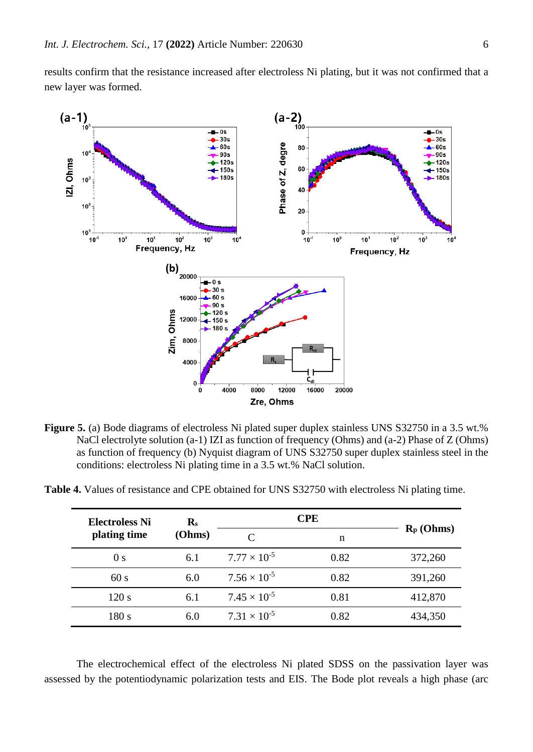results confirm that the resistance increased after electroless Ni plating, but it was not confirmed that a new layer was formed.



**Figure 5.** (a) Bode diagrams of electroless Ni plated super duplex stainless UNS S32750 in a 3.5 wt.% NaCl electrolyte solution (a-1) IZI as function of frequency (Ohms) and (a-2) Phase of Z (Ohms) as function of frequency (b) Nyquist diagram of UNS S32750 super duplex stainless steel in the conditions: electroless Ni plating time in a 3.5 wt.% NaCl solution.

| <b>Electroless Ni</b> | $\mathbf{R}_{\rm s}$ |                       |      |              |
|-----------------------|----------------------|-----------------------|------|--------------|
| plating time          | (Ohms)               |                       | n    | $R_p$ (Ohms) |
| 0 <sub>s</sub>        | 6.1                  | $7.77 \times 10^{-5}$ | 0.82 | 372,260      |
| 60s                   | 6.0                  | $7.56 \times 10^{-5}$ | 0.82 | 391,260      |
| 120 s                 | 6.1                  | $7.45 \times 10^{-5}$ | 0.81 | 412,870      |

180 s 6.0  $7.31 \times 10^{-5}$ 

**Table 4.** Values of resistance and CPE obtained for UNS S32750 with electroless Ni plating time.

The electrochemical effect of the electroless Ni plated SDSS on the passivation layer was assessed by the potentiodynamic polarization tests and EIS. The Bode plot reveals a high phase (arc

0.82 434,350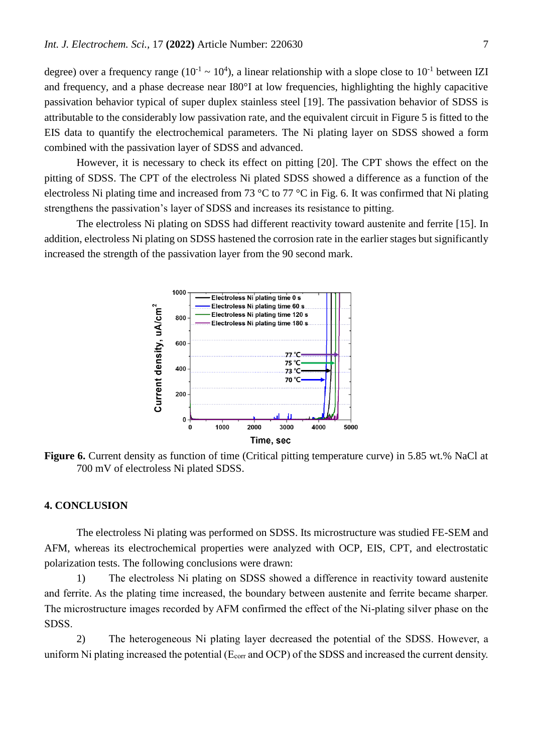degree) over a frequency range ( $10^{-1} \sim 10^{4}$ ), a linear relationship with a slope close to  $10^{-1}$  between IZI and frequency, and a phase decrease near I80°I at low frequencies, highlighting the highly capacitive passivation behavior typical of super duplex stainless steel [19]. The passivation behavior of SDSS is attributable to the considerably low passivation rate, and the equivalent circuit in Figure 5 is fitted to the EIS data to quantify the electrochemical parameters. The Ni plating layer on SDSS showed a form combined with the passivation layer of SDSS and advanced.

However, it is necessary to check its effect on pitting [20]. The CPT shows the effect on the pitting of SDSS. The CPT of the electroless Ni plated SDSS showed a difference as a function of the electroless Ni plating time and increased from 73 °C to 77 °C in Fig. 6. It was confirmed that Ni plating strengthens the passivation's layer of SDSS and increases its resistance to pitting.

The electroless Ni plating on SDSS had different reactivity toward austenite and ferrite [15]. In addition, electroless Ni plating on SDSS hastened the corrosion rate in the earlier stages but significantly increased the strength of the passivation layer from the 90 second mark.



**Figure 6.** Current density as function of time (Critical pitting temperature curve) in 5.85 wt.% NaCl at 700 mV of electroless Ni plated SDSS.

## **4. CONCLUSION**

The electroless Ni plating was performed on SDSS. Its microstructure was studied FE-SEM and AFM, whereas its electrochemical properties were analyzed with OCP, EIS, CPT, and electrostatic polarization tests. The following conclusions were drawn:

1) The electroless Ni plating on SDSS showed a difference in reactivity toward austenite and ferrite. As the plating time increased, the boundary between austenite and ferrite became sharper. The microstructure images recorded by AFM confirmed the effect of the Ni-plating silver phase on the SDSS.

2) The heterogeneous Ni plating layer decreased the potential of the SDSS. However, a uniform Ni plating increased the potential ( $E_{corr}$  and OCP) of the SDSS and increased the current density.